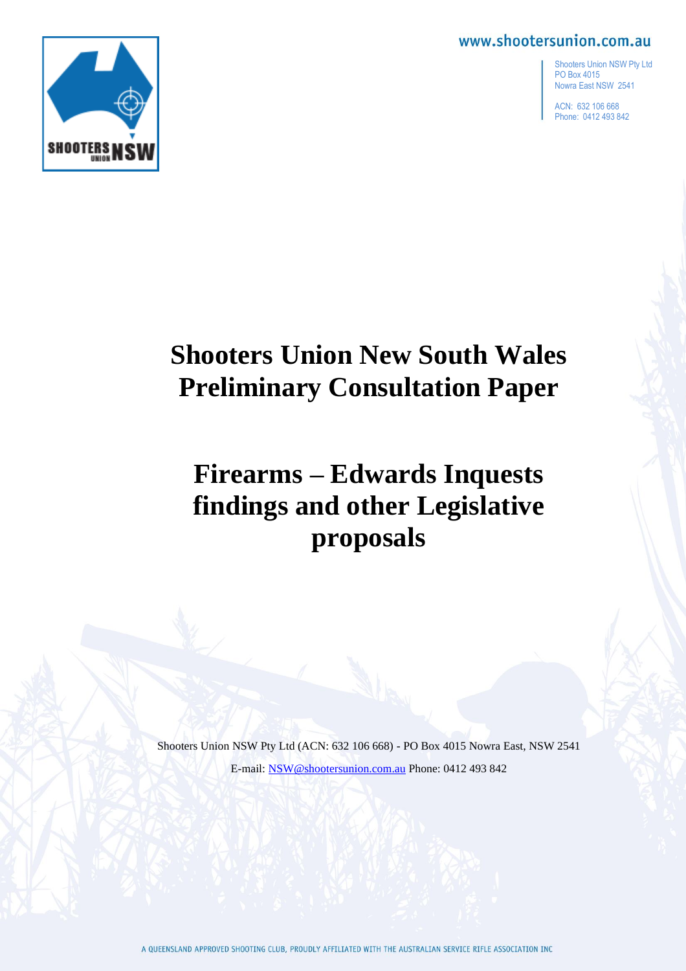

ACN: 632 106 668 Phone: 0412 493 842



# **Shooters Union New South Wales Preliminary Consultation Paper**

# **Firearms – Edwards Inquests findings and other Legislative proposals**

Shooters Union NSW Pty Ltd (ACN: 632 106 668) - PO Box 4015 Nowra East, NSW 2541 E-mail[: NSW@shootersunion.com.au](mailto:NSW@shootersunion.com.au) Phone: 0412 493 842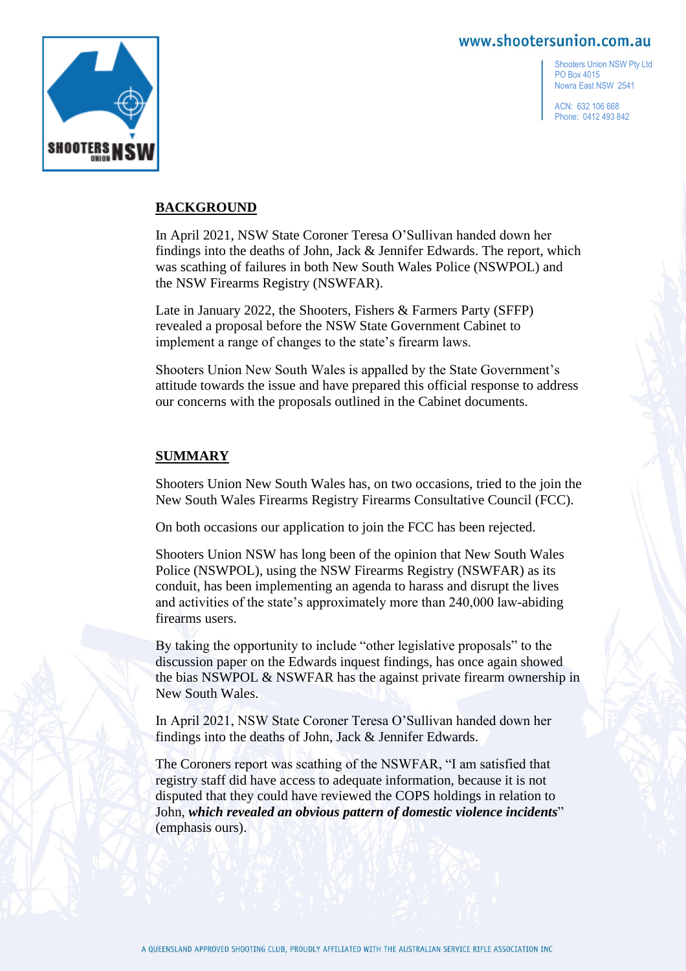

Shooters Union NSW Pty Ltd PO Box 4015 Nowra East NSW 2541

ACN: 632 106 668 Phone: 0412 493 842

## **BACKGROUND**

In April 2021, NSW State Coroner Teresa O'Sullivan handed down her findings into the deaths of John, Jack & Jennifer Edwards. The report, which was scathing of failures in both New South Wales Police (NSWPOL) and the NSW Firearms Registry (NSWFAR).

Late in January 2022, the Shooters, Fishers & Farmers Party (SFFP) revealed a proposal before the NSW State Government Cabinet to implement a range of changes to the state's firearm laws.

Shooters Union New South Wales is appalled by the State Government's attitude towards the issue and have prepared this official response to address our concerns with the proposals outlined in the Cabinet documents.

## **SUMMARY**

Shooters Union New South Wales has, on two occasions, tried to the join the New South Wales Firearms Registry Firearms Consultative Council (FCC).

On both occasions our application to join the FCC has been rejected.

Shooters Union NSW has long been of the opinion that New South Wales Police (NSWPOL), using the NSW Firearms Registry (NSWFAR) as its conduit, has been implementing an agenda to harass and disrupt the lives and activities of the state's approximately more than 240,000 law-abiding firearms users.

By taking the opportunity to include "other legislative proposals" to the discussion paper on the Edwards inquest findings, has once again showed the bias NSWPOL & NSWFAR has the against private firearm ownership in New South Wales.

In April 2021, NSW State Coroner Teresa O'Sullivan handed down her findings into the deaths of John, Jack & Jennifer Edwards.

The Coroners report was scathing of the NSWFAR, "I am satisfied that registry staff did have access to adequate information, because it is not disputed that they could have reviewed the COPS holdings in relation to John, *which revealed an obvious pattern of domestic violence incidents*" (emphasis ours).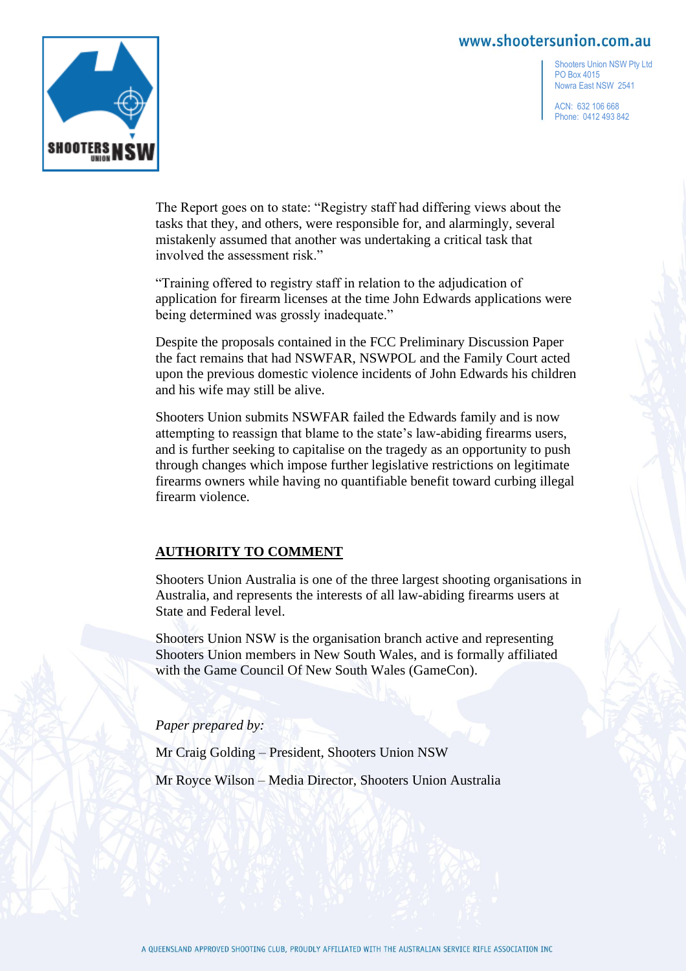

Shooters Union NSW Pty Ltd PO Box 4015 Nowra East NSW 2541

ACN: 632 106 668 Phone: 0412 493 842

The Report goes on to state: "Registry staff had differing views about the tasks that they, and others, were responsible for, and alarmingly, several mistakenly assumed that another was undertaking a critical task that involved the assessment risk."

"Training offered to registry staff in relation to the adjudication of application for firearm licenses at the time John Edwards applications were being determined was grossly inadequate."

Despite the proposals contained in the FCC Preliminary Discussion Paper the fact remains that had NSWFAR, NSWPOL and the Family Court acted upon the previous domestic violence incidents of John Edwards his children and his wife may still be alive.

Shooters Union submits NSWFAR failed the Edwards family and is now attempting to reassign that blame to the state's law-abiding firearms users, and is further seeking to capitalise on the tragedy as an opportunity to push through changes which impose further legislative restrictions on legitimate firearms owners while having no quantifiable benefit toward curbing illegal firearm violence.

# **AUTHORITY TO COMMENT**

Shooters Union Australia is one of the three largest shooting organisations in Australia, and represents the interests of all law-abiding firearms users at State and Federal level.

Shooters Union NSW is the organisation branch active and representing Shooters Union members in New South Wales, and is formally affiliated with the Game Council Of New South Wales (GameCon).

*Paper prepared by:*

Mr Craig Golding – President, Shooters Union NSW

Mr Royce Wilson – Media Director, Shooters Union Australia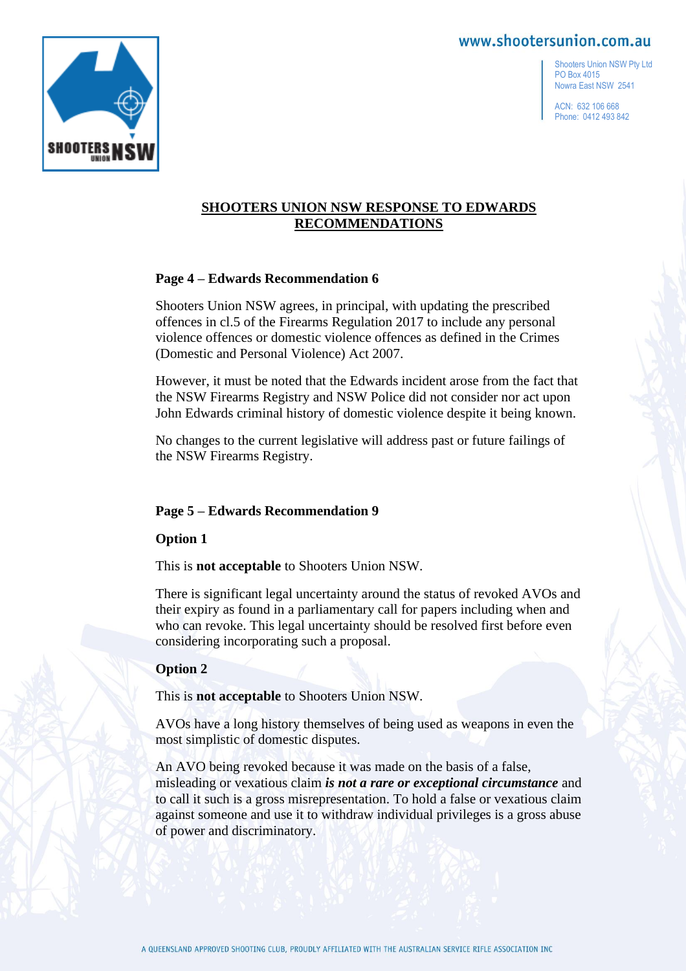Shooters Union NSW Pty Ltd PO Box 4015 Nowra East NSW 2541

ACN: 632 106 668 Phone: 0412 493 842



## **SHOOTERS UNION NSW RESPONSE TO EDWARDS RECOMMENDATIONS**

## **Page 4 – Edwards Recommendation 6**

Shooters Union NSW agrees, in principal, with updating the prescribed offences in cl.5 of the Firearms Regulation 2017 to include any personal violence offences or domestic violence offences as defined in the Crimes (Domestic and Personal Violence) Act 2007.

However, it must be noted that the Edwards incident arose from the fact that the NSW Firearms Registry and NSW Police did not consider nor act upon John Edwards criminal history of domestic violence despite it being known.

No changes to the current legislative will address past or future failings of the NSW Firearms Registry.

## **Page 5 – Edwards Recommendation 9**

**Option 1**

This is **not acceptable** to Shooters Union NSW.

There is significant legal uncertainty around the status of revoked AVOs and their expiry as found in a parliamentary call for papers including when and who can revoke. This legal uncertainty should be resolved first before even considering incorporating such a proposal.

## **Option 2**

This is **not acceptable** to Shooters Union NSW.

AVOs have a long history themselves of being used as weapons in even the most simplistic of domestic disputes.

An AVO being revoked because it was made on the basis of a false, misleading or vexatious claim *is not a rare or exceptional circumstance* and to call it such is a gross misrepresentation. To hold a false or vexatious claim against someone and use it to withdraw individual privileges is a gross abuse of power and discriminatory.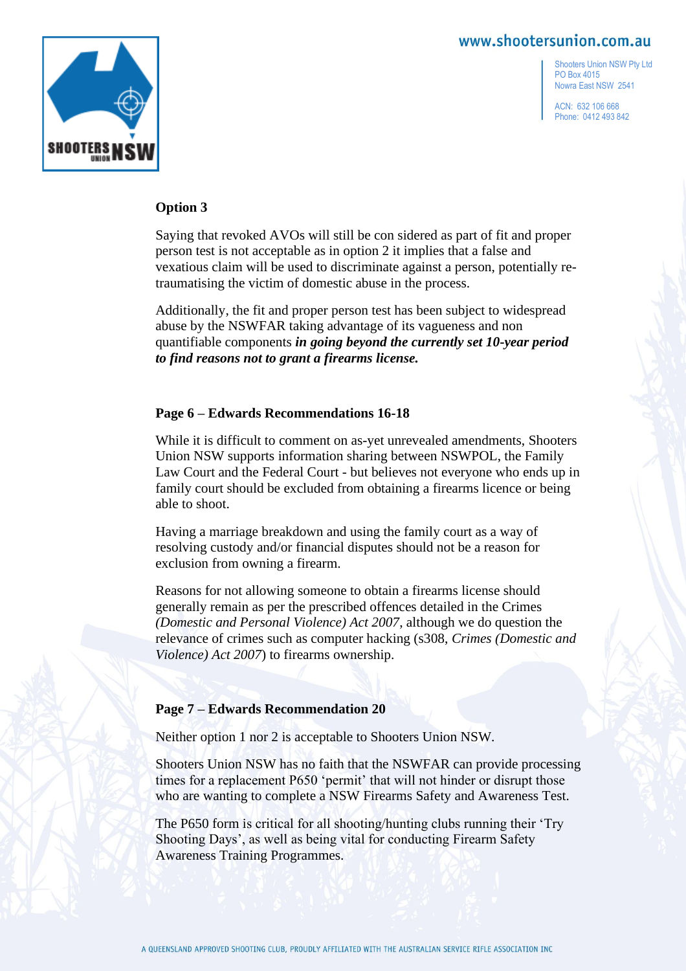

Shooters Union NSW Pty Ltd PO Box 4015 Nowra East NSW 2541

ACN: 632 106 668 Phone: 0412 493 842

#### **Option 3**

Saying that revoked AVOs will still be con sidered as part of fit and proper person test is not acceptable as in option 2 it implies that a false and vexatious claim will be used to discriminate against a person, potentially retraumatising the victim of domestic abuse in the process.

Additionally, the fit and proper person test has been subject to widespread abuse by the NSWFAR taking advantage of its vagueness and non quantifiable components *in going beyond the currently set 10-year period to find reasons not to grant a firearms license.*

#### **Page 6 – Edwards Recommendations 16-18**

While it is difficult to comment on as-yet unrevealed amendments, Shooters Union NSW supports information sharing between NSWPOL, the Family Law Court and the Federal Court - but believes not everyone who ends up in family court should be excluded from obtaining a firearms licence or being able to shoot.

Having a marriage breakdown and using the family court as a way of resolving custody and/or financial disputes should not be a reason for exclusion from owning a firearm.

Reasons for not allowing someone to obtain a firearms license should generally remain as per the prescribed offences detailed in the Crimes *(Domestic and Personal Violence) Act 2007*, although we do question the relevance of crimes such as computer hacking (s308, *Crimes (Domestic and Violence) Act 2007*) to firearms ownership.

#### **Page 7 – Edwards Recommendation 20**

Neither option 1 nor 2 is acceptable to Shooters Union NSW.

Shooters Union NSW has no faith that the NSWFAR can provide processing times for a replacement P650 'permit' that will not hinder or disrupt those who are wanting to complete a NSW Firearms Safety and Awareness Test.

The P650 form is critical for all shooting/hunting clubs running their 'Try Shooting Days', as well as being vital for conducting Firearm Safety Awareness Training Programmes.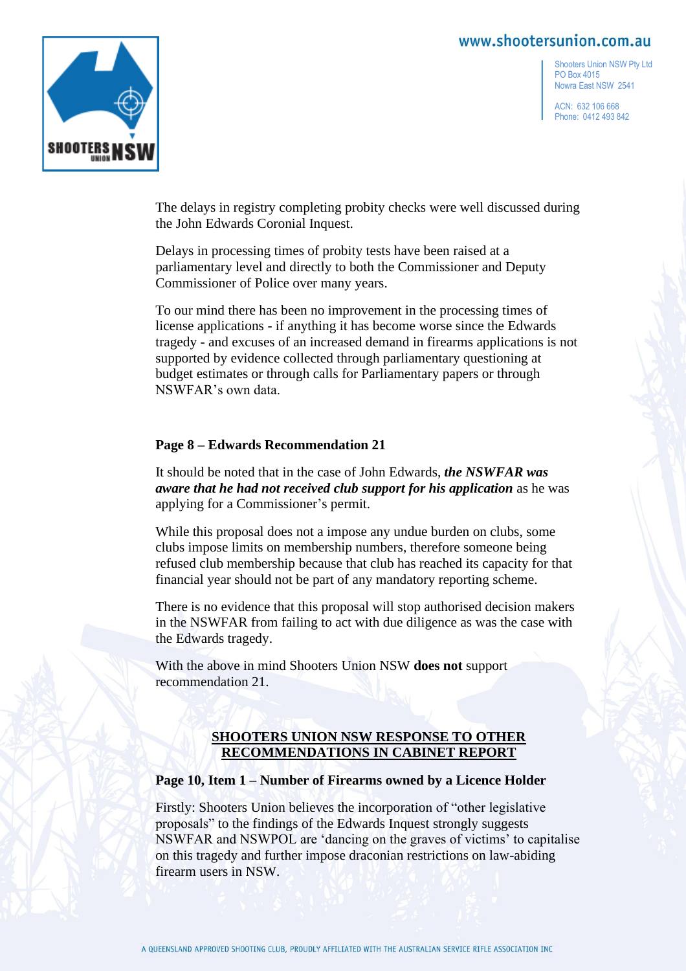

Shooters Union NSW Pty Ltd PO Box 4015 Nowra East NSW 2541

ACN: 632 106 668 Phone: 0412 493 842

The delays in registry completing probity checks were well discussed during the John Edwards Coronial Inquest.

Delays in processing times of probity tests have been raised at a parliamentary level and directly to both the Commissioner and Deputy Commissioner of Police over many years.

To our mind there has been no improvement in the processing times of license applications - if anything it has become worse since the Edwards tragedy - and excuses of an increased demand in firearms applications is not supported by evidence collected through parliamentary questioning at budget estimates or through calls for Parliamentary papers or through NSWFAR's own data.

## **Page 8 – Edwards Recommendation 21**

It should be noted that in the case of John Edwards, *the NSWFAR was aware that he had not received club support for his application* as he was applying for a Commissioner's permit.

While this proposal does not a impose any undue burden on clubs, some clubs impose limits on membership numbers, therefore someone being refused club membership because that club has reached its capacity for that financial year should not be part of any mandatory reporting scheme.

There is no evidence that this proposal will stop authorised decision makers in the NSWFAR from failing to act with due diligence as was the case with the Edwards tragedy.

With the above in mind Shooters Union NSW **does not** support recommendation 21.

# **SHOOTERS UNION NSW RESPONSE TO OTHER RECOMMENDATIONS IN CABINET REPORT**

#### **Page 10, Item 1 – Number of Firearms owned by a Licence Holder**

Firstly: Shooters Union believes the incorporation of "other legislative proposals" to the findings of the Edwards Inquest strongly suggests NSWFAR and NSWPOL are 'dancing on the graves of victims' to capitalise on this tragedy and further impose draconian restrictions on law-abiding firearm users in NSW.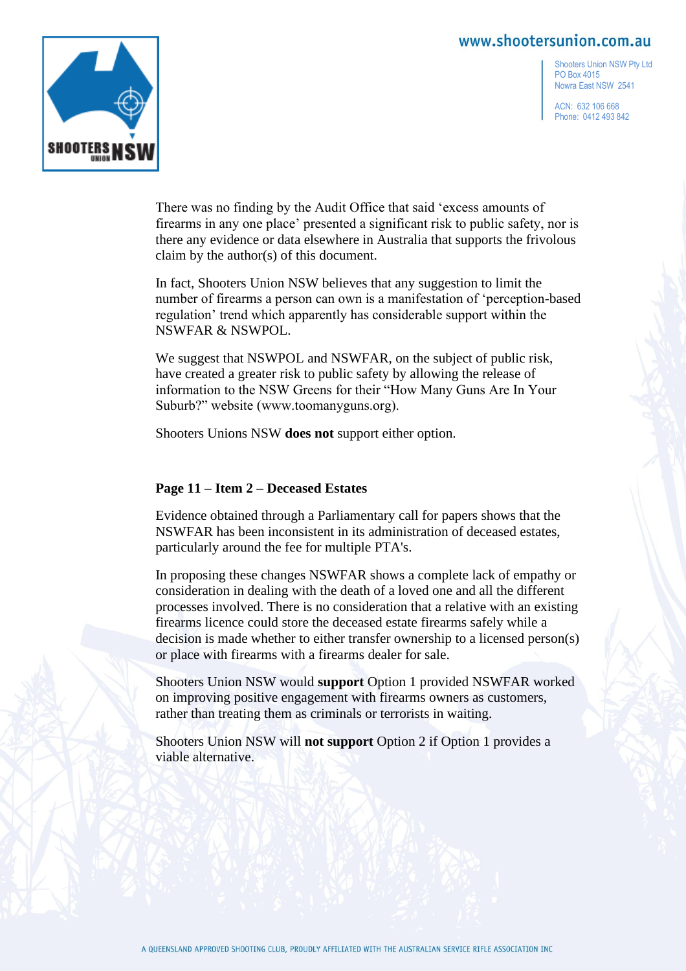

Shooters Union NSW Pty Ltd PO Box 4015 Nowra East NSW 2541

ACN: 632 106 668 Phone: 0412 493 842

There was no finding by the Audit Office that said 'excess amounts of firearms in any one place' presented a significant risk to public safety, nor is there any evidence or data elsewhere in Australia that supports the frivolous claim by the author(s) of this document.

In fact, Shooters Union NSW believes that any suggestion to limit the number of firearms a person can own is a manifestation of 'perception-based regulation' trend which apparently has considerable support within the NSWFAR & NSWPOL.

We suggest that NSWPOL and NSWFAR, on the subject of public risk, have created a greater risk to public safety by allowing the release of information to the NSW Greens for their "How Many Guns Are In Your Suburb?" website (www.toomanyguns.org).

Shooters Unions NSW **does not** support either option.

## **Page 11 – Item 2 – Deceased Estates**

Evidence obtained through a Parliamentary call for papers shows that the NSWFAR has been inconsistent in its administration of deceased estates, particularly around the fee for multiple PTA's.

In proposing these changes NSWFAR shows a complete lack of empathy or consideration in dealing with the death of a loved one and all the different processes involved. There is no consideration that a relative with an existing firearms licence could store the deceased estate firearms safely while a decision is made whether to either transfer ownership to a licensed person(s) or place with firearms with a firearms dealer for sale.

Shooters Union NSW would **support** Option 1 provided NSWFAR worked on improving positive engagement with firearms owners as customers, rather than treating them as criminals or terrorists in waiting.

Shooters Union NSW will **not support** Option 2 if Option 1 provides a viable alternative.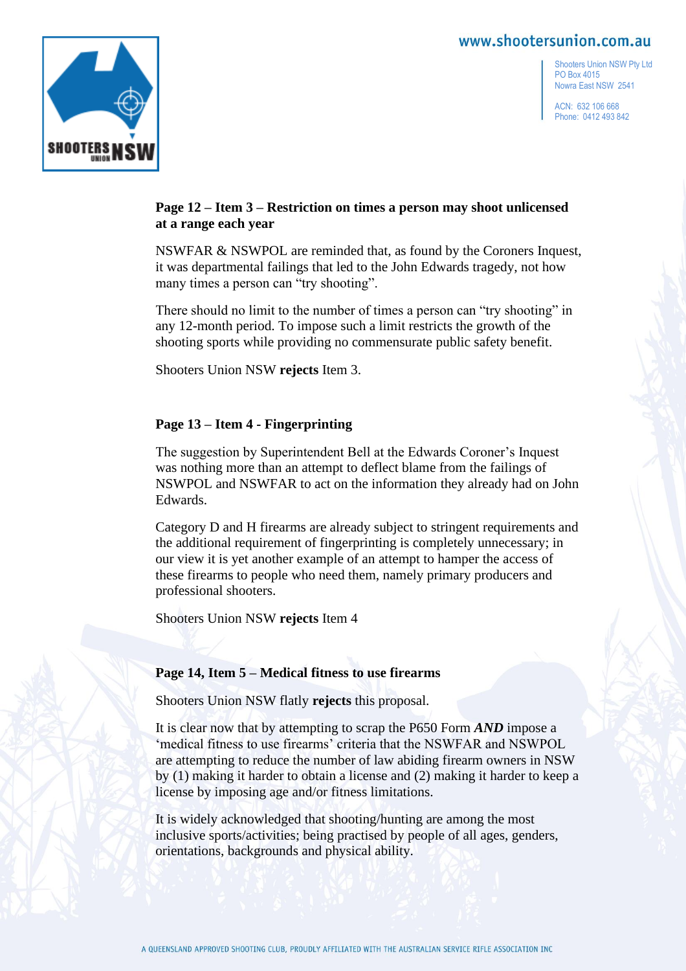

Shooters Union NSW Pty Ltd PO Box 4015 Nowra East NSW 2541

ACN: 632 106 668 Phone: 0412 493 842

## **Page 12 – Item 3 – Restriction on times a person may shoot unlicensed at a range each year**

NSWFAR & NSWPOL are reminded that, as found by the Coroners Inquest, it was departmental failings that led to the John Edwards tragedy, not how many times a person can "try shooting".

There should no limit to the number of times a person can "try shooting" in any 12-month period. To impose such a limit restricts the growth of the shooting sports while providing no commensurate public safety benefit.

Shooters Union NSW **rejects** Item 3.

## **Page 13 – Item 4 - Fingerprinting**

The suggestion by Superintendent Bell at the Edwards Coroner's Inquest was nothing more than an attempt to deflect blame from the failings of NSWPOL and NSWFAR to act on the information they already had on John Edwards.

Category D and H firearms are already subject to stringent requirements and the additional requirement of fingerprinting is completely unnecessary; in our view it is yet another example of an attempt to hamper the access of these firearms to people who need them, namely primary producers and professional shooters.

Shooters Union NSW **rejects** Item 4

## **Page 14, Item 5 – Medical fitness to use firearms**

Shooters Union NSW flatly **rejects** this proposal.

It is clear now that by attempting to scrap the P650 Form *AND* impose a 'medical fitness to use firearms' criteria that the NSWFAR and NSWPOL are attempting to reduce the number of law abiding firearm owners in NSW by (1) making it harder to obtain a license and (2) making it harder to keep a license by imposing age and/or fitness limitations.

It is widely acknowledged that shooting/hunting are among the most inclusive sports/activities; being practised by people of all ages, genders, orientations, backgrounds and physical ability.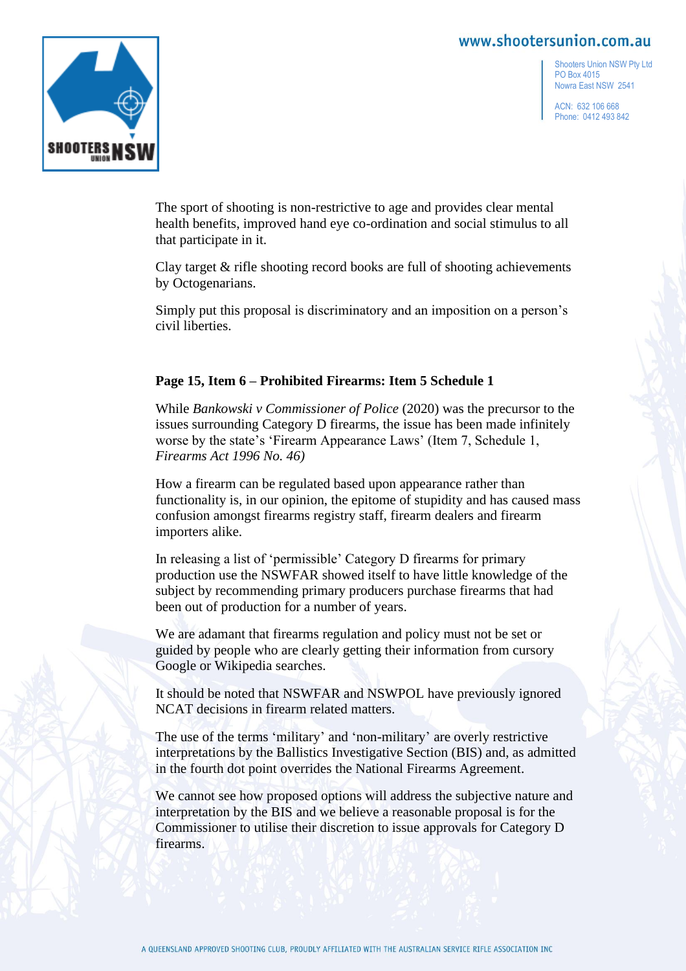

Shooters Union NSW Pty Ltd PO Box 4015 Nowra East NSW 2541

ACN: 632 106 668 Phone: 0412 493 842

The sport of shooting is non-restrictive to age and provides clear mental health benefits, improved hand eye co-ordination and social stimulus to all that participate in it.

Clay target & rifle shooting record books are full of shooting achievements by Octogenarians.

Simply put this proposal is discriminatory and an imposition on a person's civil liberties.

## **Page 15, Item 6 – Prohibited Firearms: Item 5 Schedule 1**

While *Bankowski v Commissioner of Police* (2020) was the precursor to the issues surrounding Category D firearms, the issue has been made infinitely worse by the state's 'Firearm Appearance Laws' (Item 7, Schedule 1, *Firearms Act 1996 No. 46)*

How a firearm can be regulated based upon appearance rather than functionality is, in our opinion, the epitome of stupidity and has caused mass confusion amongst firearms registry staff, firearm dealers and firearm importers alike.

In releasing a list of 'permissible' Category D firearms for primary production use the NSWFAR showed itself to have little knowledge of the subject by recommending primary producers purchase firearms that had been out of production for a number of years.

We are adamant that firearms regulation and policy must not be set or guided by people who are clearly getting their information from cursory Google or Wikipedia searches.

It should be noted that NSWFAR and NSWPOL have previously ignored NCAT decisions in firearm related matters.

The use of the terms 'military' and 'non-military' are overly restrictive interpretations by the Ballistics Investigative Section (BIS) and, as admitted in the fourth dot point overrides the National Firearms Agreement.

We cannot see how proposed options will address the subjective nature and interpretation by the BIS and we believe a reasonable proposal is for the Commissioner to utilise their discretion to issue approvals for Category D firearms.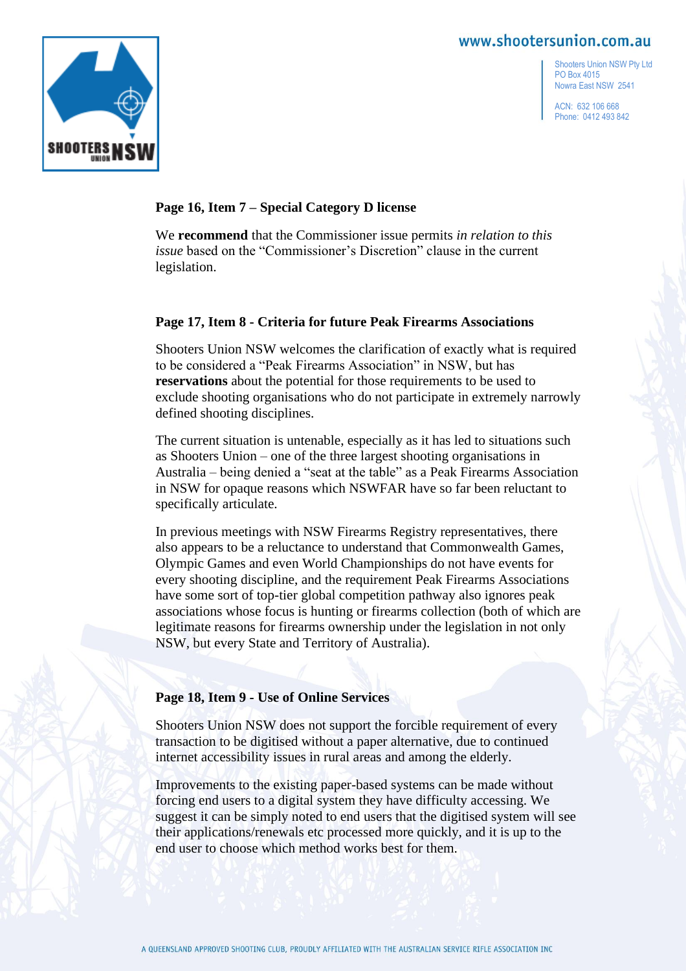Shooters Union NSW Pty Ltd PO Box 4015 Nowra East NSW 2541

ACN: 632 106 668 Phone: 0412 493 842



#### **Page 16, Item 7 – Special Category D license**

We **recommend** that the Commissioner issue permits *in relation to this issue* based on the "Commissioner's Discretion" clause in the current legislation.

#### **Page 17, Item 8 - Criteria for future Peak Firearms Associations**

Shooters Union NSW welcomes the clarification of exactly what is required to be considered a "Peak Firearms Association" in NSW, but has **reservations** about the potential for those requirements to be used to exclude shooting organisations who do not participate in extremely narrowly defined shooting disciplines.

The current situation is untenable, especially as it has led to situations such as Shooters Union – one of the three largest shooting organisations in Australia – being denied a "seat at the table" as a Peak Firearms Association in NSW for opaque reasons which NSWFAR have so far been reluctant to specifically articulate.

In previous meetings with NSW Firearms Registry representatives, there also appears to be a reluctance to understand that Commonwealth Games, Olympic Games and even World Championships do not have events for every shooting discipline, and the requirement Peak Firearms Associations have some sort of top-tier global competition pathway also ignores peak associations whose focus is hunting or firearms collection (both of which are legitimate reasons for firearms ownership under the legislation in not only NSW, but every State and Territory of Australia).

#### **Page 18, Item 9 - Use of Online Services**

Shooters Union NSW does not support the forcible requirement of every transaction to be digitised without a paper alternative, due to continued internet accessibility issues in rural areas and among the elderly.

Improvements to the existing paper-based systems can be made without forcing end users to a digital system they have difficulty accessing. We suggest it can be simply noted to end users that the digitised system will see their applications/renewals etc processed more quickly, and it is up to the end user to choose which method works best for them.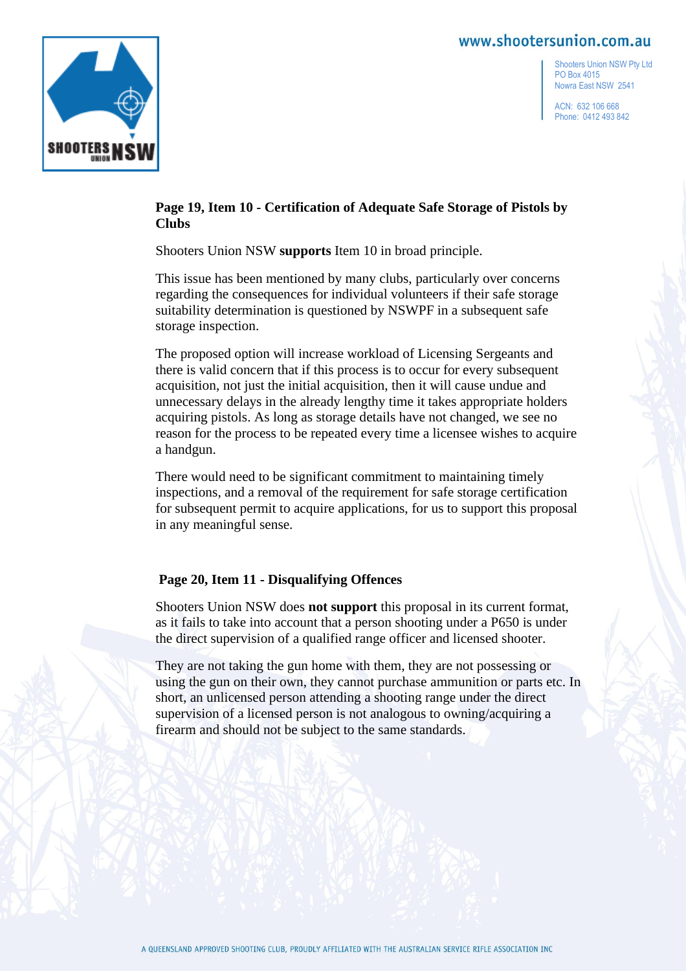

Shooters Union NSW Pty Ltd PO Box 4015 Nowra East NSW 2541

ACN: 632 106 668 Phone: 0412 493 842

## **Page 19, Item 10 - Certification of Adequate Safe Storage of Pistols by Clubs**

Shooters Union NSW **supports** Item 10 in broad principle.

This issue has been mentioned by many clubs, particularly over concerns regarding the consequences for individual volunteers if their safe storage suitability determination is questioned by NSWPF in a subsequent safe storage inspection.

The proposed option will increase workload of Licensing Sergeants and there is valid concern that if this process is to occur for every subsequent acquisition, not just the initial acquisition, then it will cause undue and unnecessary delays in the already lengthy time it takes appropriate holders acquiring pistols. As long as storage details have not changed, we see no reason for the process to be repeated every time a licensee wishes to acquire a handgun.

There would need to be significant commitment to maintaining timely inspections, and a removal of the requirement for safe storage certification for subsequent permit to acquire applications, for us to support this proposal in any meaningful sense.

# **Page 20, Item 11 - Disqualifying Offences**

Shooters Union NSW does **not support** this proposal in its current format, as it fails to take into account that a person shooting under a P650 is under the direct supervision of a qualified range officer and licensed shooter.

They are not taking the gun home with them, they are not possessing or using the gun on their own, they cannot purchase ammunition or parts etc. In short, an unlicensed person attending a shooting range under the direct supervision of a licensed person is not analogous to owning/acquiring a firearm and should not be subject to the same standards.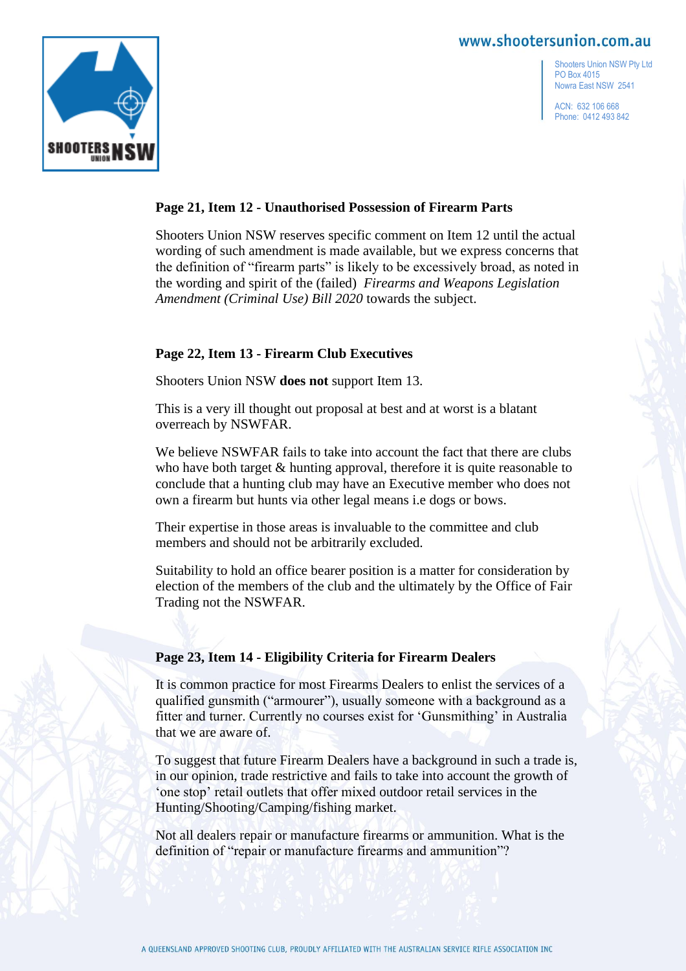

Shooters Union NSW Pty Ltd PO Box 4015 Nowra East NSW 2541

ACN: 632 106 668 Phone: 0412 493 842

#### **Page 21, Item 12 - Unauthorised Possession of Firearm Parts**

Shooters Union NSW reserves specific comment on Item 12 until the actual wording of such amendment is made available, but we express concerns that the definition of "firearm parts" is likely to be excessively broad, as noted in the wording and spirit of the (failed) *Firearms and Weapons Legislation Amendment (Criminal Use) Bill 2020* towards the subject.

#### **Page 22, Item 13 - Firearm Club Executives**

Shooters Union NSW **does not** support Item 13.

This is a very ill thought out proposal at best and at worst is a blatant overreach by NSWFAR.

We believe NSWFAR fails to take into account the fact that there are clubs who have both target  $&$  hunting approval, therefore it is quite reasonable to conclude that a hunting club may have an Executive member who does not own a firearm but hunts via other legal means i.e dogs or bows.

Their expertise in those areas is invaluable to the committee and club members and should not be arbitrarily excluded.

Suitability to hold an office bearer position is a matter for consideration by election of the members of the club and the ultimately by the Office of Fair Trading not the NSWFAR.

#### **Page 23, Item 14 - Eligibility Criteria for Firearm Dealers**

It is common practice for most Firearms Dealers to enlist the services of a qualified gunsmith ("armourer"), usually someone with a background as a fitter and turner. Currently no courses exist for 'Gunsmithing' in Australia that we are aware of.

To suggest that future Firearm Dealers have a background in such a trade is, in our opinion, trade restrictive and fails to take into account the growth of 'one stop' retail outlets that offer mixed outdoor retail services in the Hunting/Shooting/Camping/fishing market.

Not all dealers repair or manufacture firearms or ammunition. What is the definition of "repair or manufacture firearms and ammunition"?